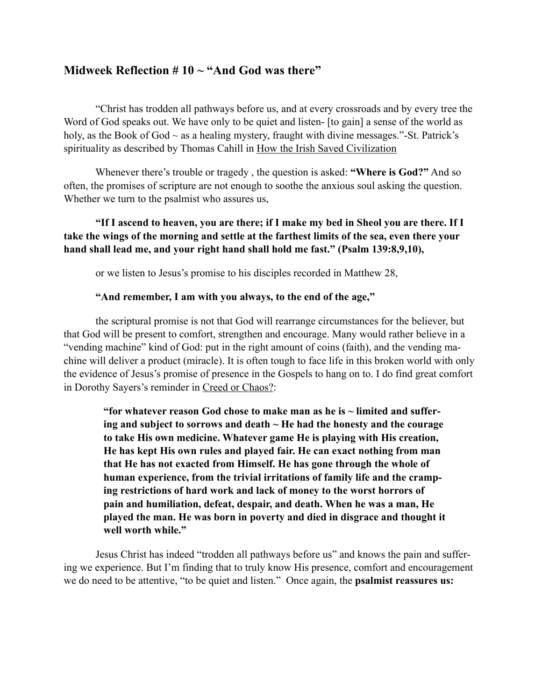# **Midweek Reflection # 10 ~ "And God was there"**

"Christ has trodden all pathways before us, and at every crossroads and by every tree the Word of God speaks out. We have only to be quiet and listen- [to gain] a sense of the world as holy, as the Book of God  $\sim$  as a healing mystery, fraught with divine messages."-St. Patrick's spirituality as described by Thomas Cahill in How the Irish Saved Civilization

Whenever there's trouble or tragedy , the question is asked: **"Where is God?"** And so often, the promises of scripture are not enough to soothe the anxious soul asking the question. Whether we turn to the psalmist who assures us,

## **"If I ascend to heaven, you are there; if I make my bed in Sheol you are there. If I take the wings of the morning and settle at the farthest limits of the sea, even there your hand shall lead me, and your right hand shall hold me fast." (Psalm 139:8,9,10),**

or we listen to Jesus's promise to his disciples recorded in Matthew 28,

#### **"And remember, I am with you always, to the end of the age,"**

the scriptural promise is not that God will rearrange circumstances for the believer, but that God will be present to comfort, strengthen and encourage. Many would rather believe in a "vending machine" kind of God: put in the right amount of coins (faith), and the vending machine will deliver a product (miracle). It is often tough to face life in this broken world with only the evidence of Jesus's promise of presence in the Gospels to hang on to. I do find great comfort in Dorothy Sayers's reminder in Creed or Chaos?:

**"for whatever reason God chose to make man as he is ~ limited and suffering and subject to sorrows and death ~ He had the honesty and the courage to take His own medicine. Whatever game He is playing with His creation, He has kept His own rules and played fair. He can exact nothing from man that He has not exacted from Himself. He has gone through the whole of human experience, from the trivial irritations of family life and the cramping restrictions of hard work and lack of money to the worst horrors of pain and humiliation, defeat, despair, and death. When he was a man, He played the man. He was born in poverty and died in disgrace and thought it well worth while."**

Jesus Christ has indeed "trodden all pathways before us" and knows the pain and suffering we experience. But I'm finding that to truly know His presence, comfort and encouragement we do need to be attentive, "to be quiet and listen." Once again, the **psalmist reassures us:**